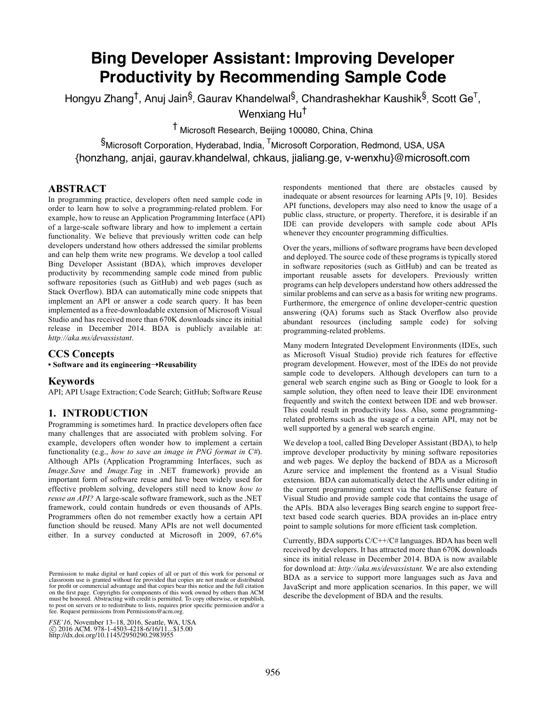# **Bing Developer Assistant: Improving Developer Productivity by Recommending Sample Code**

Hongyu Zhang<sup>†</sup>, Anuj Jain<sup>§</sup>, Gaurav Khandelwal<sup>§</sup>, Chandrashekhar Kaushik<sup>§</sup>, Scott Ge<sup>T</sup>,

Wenxiang Hu†

† Microsoft Research, Beijing 100080, China, China

§Microsoft Corporation, Hyderabad, India, <sup>T</sup>Microsoft Corporation, Redmond, USA, USA {honzhang, anjai, gaurav.khandelwal, chkaus, jialiang.ge, v-wenxhu}@microsoft.com

## **ABSTRACT**

In programming practice, developers often need sample code in order to learn how to solve a programming-related problem. For example, how to reuse an Application Programming Interface (API) of a large-scale software library and how to implement a certain functionality. We believe that previously written code can help developers understand how others addressed the similar problems and can help them write new programs. We develop a tool called Bing Developer Assistant (BDA), which improves developer productivity by recommending sample code mined from public software repositories (such as GitHub) and web pages (such as Stack Overflow). BDA can automatically mine code snippets that implement an API or answer a code search query. It has been implemented as a free-downloadable extension of Microsoft Visual Studio and has received more than 670K downloads since its initial release in December 2014. BDA is publicly available at: *http://aka.ms/devassistant*.

## **CCS Concepts**

**• Software and its engineering**➝ **Reusability**

#### **Keywords**

API; API Usage Extraction; Code Search; GitHub; Software Reuse

## **1. INTRODUCTION**

Programming is sometimes hard. In practice developers often face many challenges that are associated with problem solving. For example, developers often wonder how to implement a certain functionality (e.g., *how to save an image in PNG format in C#*). Although APIs (Application Programming Interfaces, such as *Image.Save* and *Image.Tag* in .NET framework) provide an important form of software reuse and have been widely used for effective problem solving, developers still need to know *how to reuse an API?* A large-scale software framework, such as the .NET framework, could contain hundreds or even thousands of APIs. Programmers often do not remember exactly how a certain API function should be reused. Many APIs are not well documented either. In a survey conducted at Microsoft in 2009, 67.6%

*FSE'16*, November 13–18, 2016, Seattle, WA, USA © 2016 ACM. 978-1-4503-4218-6/16/11...\$15.00 http://dx.doi.org/10.1145/2950290.2983955

respondents mentioned that there are obstacles caused by inadequate or absent resources for learning APIs [9, 10]. Besides API functions, developers may also need to know the usage of a public class, structure, or property. Therefore, it is desirable if an IDE can provide developers with sample code about APIs whenever they encounter programming difficulties.

Over the years, millions of software programs have been developed and deployed. The source code of these programs is typically stored in software repositories (such as GitHub) and can be treated as important reusable assets for developers. Previously written programs can help developers understand how others addressed the similar problems and can serve as a basis for writing new programs. Furthermore, the emergence of online developer-centric question answering (QA) forums such as Stack Overflow also provide abundant resources (including sample code) for solving programming-related problems.

Many modern Integrated Development Environments (IDEs, such as Microsoft Visual Studio) provide rich features for effective program development. However, most of the IDEs do not provide sample code to developers. Although developers can turn to a general web search engine such as Bing or Google to look for a sample solution, they often need to leave their IDE environment frequently and switch the context between IDE and web browser. This could result in productivity loss. Also, some programmingrelated problems such as the usage of a certain API, may not be well supported by a general web search engine.

We develop a tool, called Bing Developer Assistant (BDA), to help improve developer productivity by mining software repositories and web pages. We deploy the backend of BDA as a Microsoft Azure service and implement the frontend as a Visual Studio extension. BDA can automatically detect the APIs under editing in the current programming context via the IntelliSense feature of Visual Studio and provide sample code that contains the usage of the APIs. BDA also leverages Bing search engine to support freetext based code search queries. BDA provides an in-place entry point to sample solutions for more efficient task completion.

Currently, BDA supports C/C++/C# languages. BDA has been well received by developers. It has attracted more than 670K downloads since its initial release in December 2014. BDA is now available for download at: *http://aka.ms/devassistant.* We are also extending BDA as a service to support more languages such as Java and JavaScript and more application scenarios. In this paper, we will describe the development of BDA and the results.

Permission to make digital or hard copies of all or part of this work for personal or classroom use is granted without fee provided that copies are not made or distributed for profit or commercial advantage and that copies bear this notice and the full citation on the first page. Copyrights for components of this work owned by others than ACM must be honored. Abstracting with credit is permitted. To copy otherwise, or republish, to post on servers or to redistribute to lists, requires prior specific permission and/or a fee. Request permissions from Permissions@acm.org.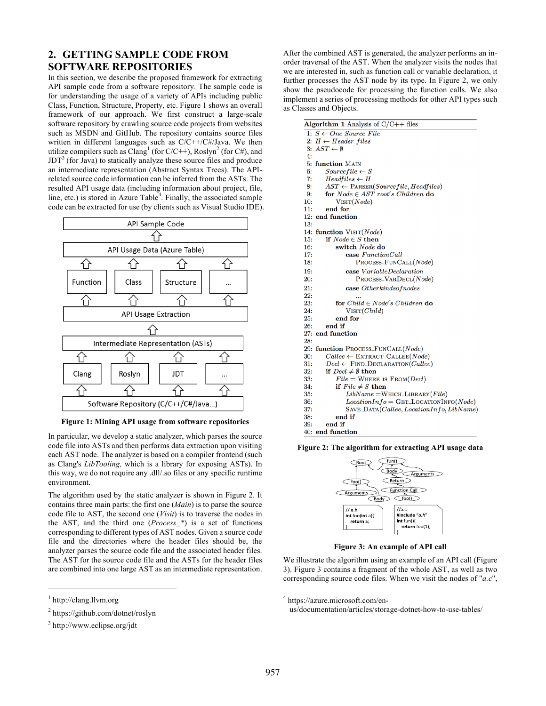# **2. GETTING SAMPLE CODE FROM SOFTWARE REPOSITORIES**

In this section, we describe the proposed framework for extracting API sample code from a software repository. The sample code is for understanding the usage of a variety of APIs including public Class, Function, Structure, Property, etc. Figure 1 shows an overall framework of our approach. We first construct a large-scale software repository by crawling source code projects from websites such as MSDN and GitHub. The repository contains source files written in different languages such as C/C++/C#/Java. We then utilize compilers such as  $Clang<sup>1</sup>$  (for C/C++), Roslyn<sup>2</sup> (for C#), and  $JDT<sup>3</sup>$  (for Java) to statically analyze these source files and produce an intermediate representation (Abstract Syntax Trees). The APIrelated source code information can be inferred from the ASTs. The resulted API usage data (including information about project, file, line, etc.) is stored in Azure Table<sup>4</sup>. Finally, the associated sample code can be extracted for use (by clients such as Visual Studio IDE).



**Figure 1: Mining API usage from software repositories**

In particular, we develop a static analyzer, which parses the source code file into ASTs and then performs data extraction upon visiting each AST node. The analyzer is based on a compiler frontend (such as Clang's *LibTooling,* which is a library for exposing ASTs). In this way, we do not require any .dll/.so files or any specific runtime environment.

The algorithm used by the static analyzer is shown in Figure 2. It contains three main parts: the first one (*Main*) is to parse the source code file to AST, the second one (*Visit*) is to traverse the nodes in the AST, and the third one (*Process\_\**) is a set of functions corresponding to different types of AST nodes. Given a source code file and the directories where the header files should be, the analyzer parses the source code file and the associated header files. The AST for the source code file and the ASTs for the header files are combined into one large AST as an intermediate representation.

 $\overline{a}$ 

After the combined AST is generated, the analyzer performs an inorder traversal of the AST. When the analyzer visits the nodes that we are interested in, such as function call or variable declaration, it further processes the AST node by its type. In Figure 2, we only show the pseudocode for processing the function calls. We also implement a series of processing methods for other API types such as Classes and Objects.

| Algorithm 1 Analysis of $C/C++$ files                         |
|---------------------------------------------------------------|
| 1: $S \leftarrow One Source File$                             |
| 2: $H \leftarrow \text{Header files}$                         |
| 3: $AST \leftarrow \emptyset$                                 |
| 4:                                                            |
| 5: function MAIN                                              |
| 6:<br>$Sourcefile \leftarrow S$                               |
| 7:<br>$Head files \leftarrow H$                               |
| $AST \leftarrow$ PARSER( <i>Sourcefile, Headfiles</i> )<br>8: |
| for $Node \in AST$ root's Children do<br>9:                   |
| 10:<br>$V\text{ISIT}(Node)$                                   |
| 11:<br>end for                                                |
| 12: end function                                              |
| 13:                                                           |
| 14: function $VIST(Node)$                                     |
| if $Node \in S$ then<br>15:                                   |
| switch Node do<br>16:                                         |
| case $FunctionCall$<br>17:                                    |
| 18:<br>PROCESS_FUNCALL(Node)                                  |
| 19:<br>$\mathbf{case}~Variable Declaration$                   |
| 20:<br>PROCESS_VARDECL(Node)                                  |
| 21:<br>case Otherkindsofnodes                                 |
| 22:                                                           |
| 23:<br>for $Child \in Node's \ Children$ do                   |
| 24:<br>VIST(Child)                                            |
| 25:<br>end for                                                |
| end if<br>26:                                                 |
| 27: end function                                              |
| 28:                                                           |
| 29: function PROCESS_FUNCALL(Node)                            |
| 30:<br>$Callee \leftarrow \text{EXTRACT\_CALLEE}(Node)$       |
| 31:<br>$Decl \leftarrow$ FIND_DECLARATION( <i>Callee</i> )    |
| 32:<br>if $Decl \neq \emptyset$ then                          |
| 33:<br>$File = WHERE_is_FROM(Decl)$                           |
| 34:<br>if $File \neq S$ then                                  |
| 35:<br>$LibName =$ WHICH_LIBRARY $(File)$                     |
| 36:<br>$LocationInfo = GET\_LOCALONINFO(Node)$                |
| 37:<br>$SAVE\_DATA(Callee, LocationInfo, LibName)$            |
| 38:<br>end if                                                 |
| 39:<br>end if                                                 |
| 40: end function                                              |

**Figure 2: The algorithm for extracting API usage data** 



**Figure 3: An example of API call**

We illustrate the algorithm using an example of an API call (Figure 3). Figure 3 contains a fragment of the whole AST, as well as two corresponding source code files. When we visit the nodes of "*a.c*",

<sup>4</sup> https://azure.microsoft.com/en-

us/documentation/articles/storage-dotnet-how-to-use-tables/

<sup>&</sup>lt;sup>1</sup> http://clang.llvm.org

<sup>2</sup> https://github.com/dotnet/roslyn

<sup>3</sup> http://www.eclipse.org/jdt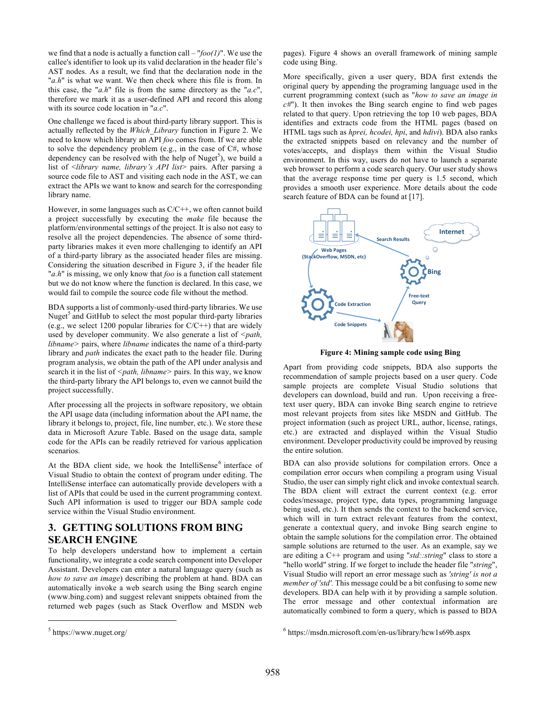we find that a node is actually a function call – "*foo(1)*". We use the callee's identifier to look up its valid declaration in the header file's AST nodes. As a result, we find that the declaration node in the "*a.h*" is what we want. We then check where this file is from. In this case, the "*a.h*" file is from the same directory as the "*a.c*", therefore we mark it as a user-defined API and record this along with its source code location in "*a.c*".

One challenge we faced is about third-party library support. This is actually reflected by the *Which\_Library* function in Figure 2. We need to know which library an API *foo* comes from. If we are able to solve the dependency problem (e.g., in the case of C#, whose dependency can be resolved with the help of Nuget<sup>5</sup>), we build a list of <*library name, library's API list*> pairs. After parsing a source code file to AST and visiting each node in the AST, we can extract the APIs we want to know and search for the corresponding library name.

However, in some languages such as C/C++, we often cannot build a project successfully by executing the *make* file because the platform/environmental settings of the project. It is also not easy to resolve all the project dependencies. The absence of some thirdparty libraries makes it even more challenging to identify an API of a third-party library as the associated header files are missing. Considering the situation described in Figure 3, if the header file "*a.h*" is missing, we only know that *foo* is a function call statement but we do not know where the function is declared. In this case, we would fail to compile the source code file without the method.

BDA supports a list of commonly-used third-party libraries. We use Nuget $<sup>5</sup>$  and GitHub to select the most popular third-party libraries</sup> (e.g., we select 1200 popular libraries for  $C/C++$ ) that are widely used by developer community. We also generate a list of *<path*, *libname>* pairs, where *libname* indicates the name of a third-party library and *path* indicates the exact path to the header file. During program analysis, we obtain the path of the API under analysis and search it in the list of *<path, libname>* pairs. In this way, we know the third-party library the API belongs to, even we cannot build the project successfully.

After processing all the projects in software repository, we obtain the API usage data (including information about the API name, the library it belongs to, project, file, line number, etc.). We store these data in Microsoft Azure Table. Based on the usage data, sample code for the APIs can be readily retrieved for various application scenarios.

At the BDA client side, we hook the IntelliSense $<sup>6</sup>$  interface of</sup> Visual Studio to obtain the context of program under editing. The IntelliSense interface can automatically provide developers with a list of APIs that could be used in the current programming context. Such API information is used to trigger our BDA sample code service within the Visual Studio environment.

# **3. GETTING SOLUTIONS FROM BING SEARCH ENGINE**

To help developers understand how to implement a certain functionality, we integrate a code search component into Developer Assistant. Developers can enter a natural language query (such as *how to save an image*) describing the problem at hand. BDA can automatically invoke a web search using the Bing search engine (www.bing.com) and suggest relevant snippets obtained from the returned web pages (such as Stack Overflow and MSDN web

 $<sup>5</sup>$  https://www.nuget.org/</sup>

 $\overline{a}$ 

pages). Figure 4 shows an overall framework of mining sample code using Bing.

More specifically, given a user query, BDA first extends the original query by appending the programing language used in the current programming context (such as "*how to save an image in c#*"). It then invokes the Bing search engine to find web pages related to that query. Upon retrieving the top 10 web pages, BDA identifies and extracts code from the HTML pages (based on HTML tags such as *hprei, hcodei, hpi*, and *hdivi*). BDA also ranks the extracted snippets based on relevancy and the number of votes/accepts, and displays them within the Visual Studio environment. In this way, users do not have to launch a separate web browser to perform a code search query. Our user study shows that the average response time per query is 1.5 second, which provides a smooth user experience. More details about the code search feature of BDA can be found at [17].



**Figure 4: Mining sample code using Bing**

Apart from providing code snippets, BDA also supports the recommendation of sample projects based on a user query. Code sample projects are complete Visual Studio solutions that developers can download, build and run. Upon receiving a freetext user query, BDA can invoke Bing search engine to retrieve most relevant projects from sites like MSDN and GitHub. The project information (such as project URL, author, license, ratings, etc.) are extracted and displayed within the Visual Studio environment. Developer productivity could be improved by reusing the entire solution.

BDA can also provide solutions for compilation errors. Once a compilation error occurs when compiling a program using Visual Studio, the user can simply right click and invoke contextual search. The BDA client will extract the current context (e.g. error codes/message, project type, data types, programming language being used, etc.). It then sends the context to the backend service, which will in turn extract relevant features from the context, generate a contextual query, and invoke Bing search engine to obtain the sample solutions for the compilation error. The obtained sample solutions are returned to the user. As an example, say we are editing a C++ program and using "*std::string*" class to store a "hello world" string. If we forget to include the header file "*string*", Visual Studio will report an error message such as *'string' is not a member of 'std'.* This message could be a bit confusing to some new developers. BDA can help with it by providing a sample solution. The error message and other contextual information are automatically combined to form a query, which is passed to BDA

<sup>6</sup> https://msdn.microsoft.com/en-us/library/hcw1s69b.aspx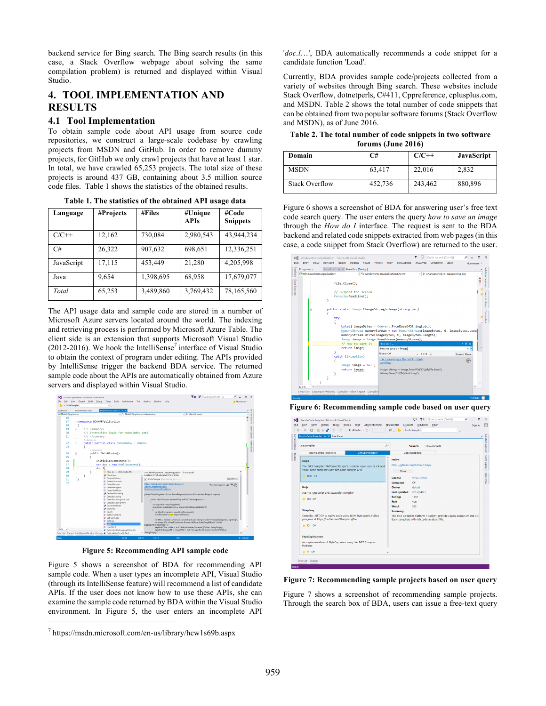backend service for Bing search. The Bing search results (in this case, a Stack Overflow webpage about solving the same compilation problem) is returned and displayed within Visual Studio.

# **4. TOOL IMPLEMENTATION AND RESULTS**

## **4.1 Tool Implementation**

To obtain sample code about API usage from source code repositories, we construct a large-scale codebase by crawling projects from MSDN and GitHub. In order to remove dummy projects, for GitHub we only crawl projects that have at least 1 star. In total, we have crawled 65,253 projects. The total size of these projects is around 437 GB, containing about 3.5 million source code files. Table 1 shows the statistics of the obtained results.

| Language   | #Projects | #Files    | #Unique<br><b>APIs</b> | #Code<br><b>Snippets</b> |
|------------|-----------|-----------|------------------------|--------------------------|
| $C/C++$    | 12,162    | 730,084   | 2,980,543              | 43,944,234               |
| C#         | 26,322    | 907,632   | 698,651                | 12,336,251               |
| JavaScript | 17,115    | 453,449   | 21,280                 | 4,205,998                |
| Java       | 9,654     | 1,398,695 | 68,958                 | 17,679,077               |
| Total      | 65,253    | 3,489,860 | 3,769,432              | 78,165,560               |

**Table 1. The statistics of the obtained API usage data**

The API usage data and sample code are stored in a number of Microsoft Azure servers located around the world. The indexing and retrieving process is performed by Microsoft Azure Table. The client side is an extension that supports Microsoft Visual Studio  $(2012-2016)$ . We hook the IntelliSense<sup>7</sup> interface of Visual Studio to obtain the context of program under editing. The APIs provided by IntelliSense trigger the backend BDA service. The returned sample code about the APIs are automatically obtained from Azure servers and displayed within Visual Studio.



**Figure 5: Recommending API sample code**

Figure 5 shows a screenshot of BDA for recommending API sample code. When a user types an incomplete API, Visual Studio (through its IntelliSense feature) will recommend a list of candidate APIs. If the user does not know how to use these APIs, she can examine the sample code returned by BDA within the Visual Studio environment. In Figure 5, the user enters an incomplete API

 $\overline{a}$ 

'*doc.l*…', BDA automatically recommends a code snippet for a candidate function 'Load'.

Currently, BDA provides sample code/projects collected from a variety of websites through Bing search. These websites include Stack Overflow, dotnetperls, C#411, Cppreference, cplusplus.com, and MSDN. Table 2 shows the total number of code snippets that can be obtained from two popular software forums (Stack Overflow and MSDN), as of June 2016.

**Table 2. The total number of code snippets in two software forums (June 2016)**

| Domain                | C#      | $C/C++$ | <b>JavaScript</b> |
|-----------------------|---------|---------|-------------------|
| <b>MSDN</b>           | 63,417  | 22,016  | 2,832             |
| <b>Stack Overflow</b> | 452,736 | 243,462 | 880,896           |

Figure 6 shows a screenshot of BDA for answering user's free text code search query. The user enters the query *how to save an image* through the *How do I* interface. The request is sent to the BDA backend and related code snippets extracted from web pages (in this case, a code snippet from Stack Overflow) are returned to the user.



**Figure 6: Recommending sample code based on user query**

| м<br>FILE<br>8 O | Search Code Samples - Microsoft Visual Studio<br>VIEW DEBUG TEAM TOOLS<br><b>TEST</b><br>ARCHITECTURE RESHARPER<br><b>EDIT</b><br>  ワ - C' -   ▶ Attach - ウ -                                 < Code Samples<br>$-0$ $-0$ $-1$ $-1$ |                                                     | Quick Launch (Ctrl+O)<br>o<br>۳ε<br>ANALYZE WINDOW<br>HELP                                                              | Ω<br>п<br>Sign in<br>v<br>$\overline{z}$ | $\times$<br>囨     |
|------------------|-------------------------------------------------------------------------------------------------------------------------------------------------------------------------------------------------------------------------------------|-----------------------------------------------------|-------------------------------------------------------------------------------------------------------------------------|------------------------------------------|-------------------|
| Server Explorer  | Search Code Samples # X Start Page<br>Q<br>.net compiler                                                                                                                                                                            |                                                     | Downloads<br><b>Search</b>                                                                                              |                                          | Solution Explorer |
|                  | <b>MSDN Sample Projects(0)</b><br><b>GitHub Projects(4)</b>                                                                                                                                                                         |                                                     | Code Snippets(8)                                                                                                        |                                          |                   |
| Toolbox          | roslyn<br>The .NET Compiler Platform ("Roslyn") provides open-source C# and<br>Visual Basic compilers with rich code analysis APIs.                                                                                                 | roslyn<br>https://github.com/dotnet/roslyn<br>Clone |                                                                                                                         |                                          |                   |
|                  | $+ 1837 C$                                                                                                                                                                                                                          | License<br>Language                                 | View License<br>C#                                                                                                      |                                          | Class View        |
|                  | <b>Netis</b>                                                                                                                                                                                                                        | Owner<br><b>Last Updated</b>                        | dotnet<br>2015/04/21                                                                                                    |                                          |                   |
|                  | .NET to TypeScript and JavaScript compiler<br>$+ 403 C =$                                                                                                                                                                           | <b>Ratings</b>                                      | 1837                                                                                                                    |                                          |                   |
|                  |                                                                                                                                                                                                                                     | Fork<br><b>Watch</b>                                | 406<br>392                                                                                                              |                                          |                   |
|                  | SharpLang                                                                                                                                                                                                                           | Summary                                             |                                                                                                                         |                                          |                   |
|                  | Compiles .NET/C# to native code using LLVM framework. Follow<br>progress at https://twitter.com/SharpLangDev<br>$\pm$ 151 C#                                                                                                        |                                                     | The .NET Compiler Platform ('Roslyn') provides open-source C# and Vist<br>Basic compilers with rich code analysis APIs. |                                          |                   |
|                  | <b>StyleCopAnalyzers</b>                                                                                                                                                                                                            |                                                     |                                                                                                                         |                                          |                   |
|                  | An implementation of StyleCop rules using the .NET Compiler<br>Platform                                                                                                                                                             |                                                     |                                                                                                                         |                                          |                   |
|                  | $\frac{1}{2}$ 51 C#                                                                                                                                                                                                                 |                                                     |                                                                                                                         |                                          |                   |
|                  | Error List Output                                                                                                                                                                                                                   |                                                     |                                                                                                                         |                                          |                   |
| Ready            |                                                                                                                                                                                                                                     |                                                     |                                                                                                                         |                                          |                   |

**Figure 7: Recommending sample projects based on user query**

Figure 7 shows a screenshot of recommending sample projects. Through the search box of BDA, users can issue a free-text query

 $^7$  https://msdn.microsoft.com/en-us/library/hcw1s69b.aspx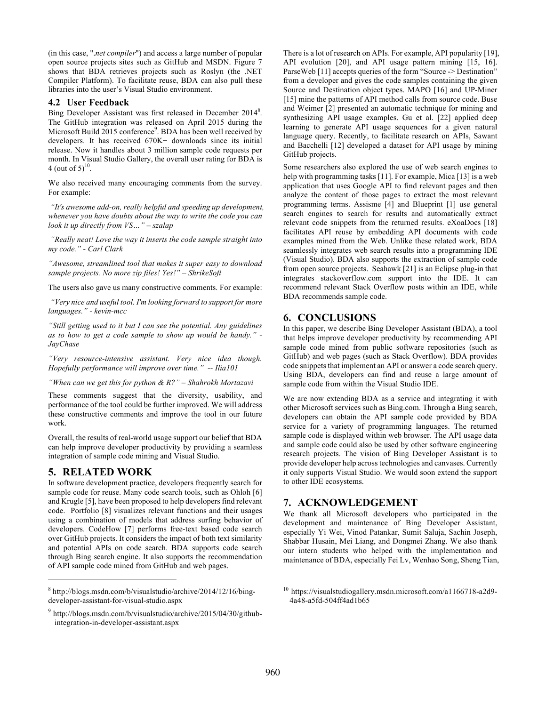(in this case, ".*net compiler*") and access a large number of popular open source projects sites such as GitHub and MSDN. Figure 7 shows that BDA retrieves projects such as Roslyn (the .NET Compiler Platform). To facilitate reuse, BDA can also pull these libraries into the user's Visual Studio environment.

#### **4.2 User Feedback**

Bing Developer Assistant was first released in December 2014<sup>8</sup>. The GitHub integration was released on April 2015 during the Microsoft Build 2015 conference<sup>9</sup>. BDA has been well received by developers. It has received 670K+ downloads since its initial release. Now it handles about 3 million sample code requests per month. In Visual Studio Gallery, the overall user rating for BDA is 4 (out of  $5)^{10}$ .

We also received many encouraging comments from the survey. For example:

*"It's awesome add-on, really helpful and speeding up development, whenever you have doubts about the way to write the code you can look it up directly from VS…" – szalap*

*"Really neat! Love the way it inserts the code sample straight into my code." - Carl Clark*

*"Awesome, streamlined tool that makes it super easy to download sample projects. No more zip files! Yes!" – ShrikeSoft*

The users also gave us many constructive comments. For example:

*"Very nice and useful tool. I'm looking forward to support for more languages." - kevin-mcc*

*"Still getting used to it but I can see the potential. Any guidelines as to how to get a code sample to show up would be handy." - JayChase*

*"Very resource-intensive assistant. Very nice idea though. Hopefully performance will improve over time." -- Ilia101*

*"When can we get this for python & R?" – Shahrokh Mortazavi*

These comments suggest that the diversity, usability, and performance of the tool could be further improved. We will address these constructive comments and improve the tool in our future work.

Overall, the results of real-world usage support our belief that BDA can help improve developer productivity by providing a seamless integration of sample code mining and Visual Studio.

## **5. RELATED WORK**

 $\overline{a}$ 

In software development practice, developers frequently search for sample code for reuse. Many code search tools, such as Ohloh [6] and Krugle [5], have been proposed to help developers find relevant code. Portfolio [8] visualizes relevant functions and their usages using a combination of models that address surfing behavior of developers. CodeHow [7] performs free-text based code search over GitHub projects. It considers the impact of both text similarity and potential APIs on code search. BDA supports code search through Bing search engine. It also supports the recommendation of API sample code mined from GitHub and web pages.

There is a lot of research on APIs. For example, API popularity [19], API evolution [20], and API usage pattern mining [15, 16]. ParseWeb [11] accepts queries of the form "Source -> Destination" from a developer and gives the code samples containing the given Source and Destination object types. MAPO [16] and UP-Miner [15] mine the patterns of API method calls from source code. Buse and Weimer [2] presented an automatic technique for mining and synthesizing API usage examples. Gu et al. [22] applied deep learning to generate API usage sequences for a given natural language query. Recently, to facilitate research on APIs, Sawant and Bacchelli [12] developed a dataset for API usage by mining GitHub projects.

Some researchers also explored the use of web search engines to help with programming tasks [11]. For example, Mica [13] is a web application that uses Google API to find relevant pages and then analyze the content of those pages to extract the most relevant programming terms. Assisme [4] and Blueprint [1] use general search engines to search for results and automatically extract relevant code snippets from the returned results. eXoaDocs [18] facilitates API reuse by embedding API documents with code examples mined from the Web. Unlike these related work, BDA seamlessly integrates web search results into a programming IDE (Visual Studio). BDA also supports the extraction of sample code from open source projects. Seahawk [21] is an Eclipse plug-in that integrates stackoverflow.com support into the IDE. It can recommend relevant Stack Overflow posts within an IDE, while BDA recommends sample code.

## **6. CONCLUSIONS**

In this paper, we describe Bing Developer Assistant (BDA), a tool that helps improve developer productivity by recommending API sample code mined from public software repositories (such as GitHub) and web pages (such as Stack Overflow). BDA provides code snippets that implement an API or answer a code search query. Using BDA, developers can find and reuse a large amount of sample code from within the Visual Studio IDE.

We are now extending BDA as a service and integrating it with other Microsoft services such as Bing.com. Through a Bing search, developers can obtain the API sample code provided by BDA service for a variety of programming languages. The returned sample code is displayed within web browser. The API usage data and sample code could also be used by other software engineering research projects. The vision of Bing Developer Assistant is to provide developer help across technologies and canvases. Currently it only supports Visual Studio. We would soon extend the support to other IDE ecosystems.

## **7. ACKNOWLEDGEMENT**

We thank all Microsoft developers who participated in the development and maintenance of Bing Developer Assistant, especially Yi Wei, Vinod Patankar, Sumit Saluja, Sachin Joseph, Shabbar Husain, Mei Liang, and Dongmei Zhang. We also thank our intern students who helped with the implementation and maintenance of BDA, especially Fei Lv, Wenhao Song, Sheng Tian,

<sup>8</sup> http://blogs.msdn.com/b/visualstudio/archive/2014/12/16/bingdeveloper-assistant-for-visual-studio.aspx

http://blogs.msdn.com/b/visualstudio/archive/2015/04/30/githubintegration-in-developer-assistant.aspx

 $10$  https://visualstudiogallery.msdn.microsoft.com/a1166718-a2d9-4a48-a5fd-504ff4ad1b65